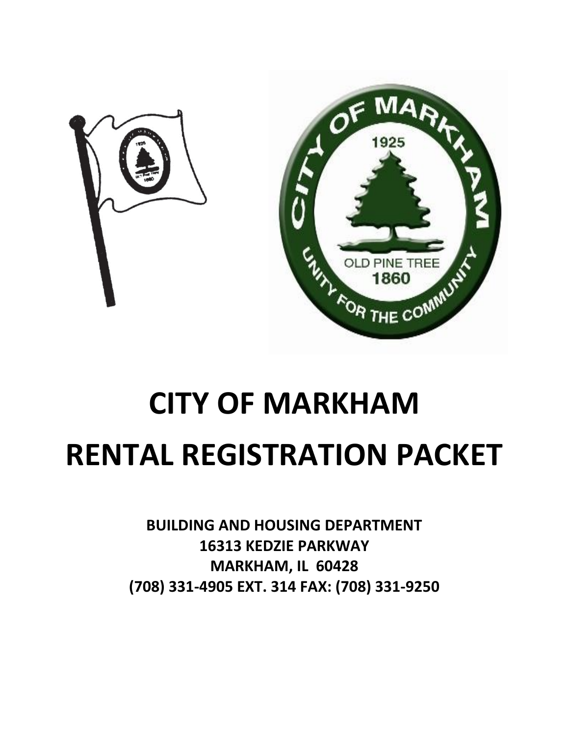

# **CITY OF MARKHAM RENTAL REGISTRATION PACKET**

**BUILDING AND HOUSING DEPARTMENT 16313 KEDZIE PARKWAY MARKHAM, IL 60428 (708) 331-4905 EXT. 314 FAX: (708) 331-9250**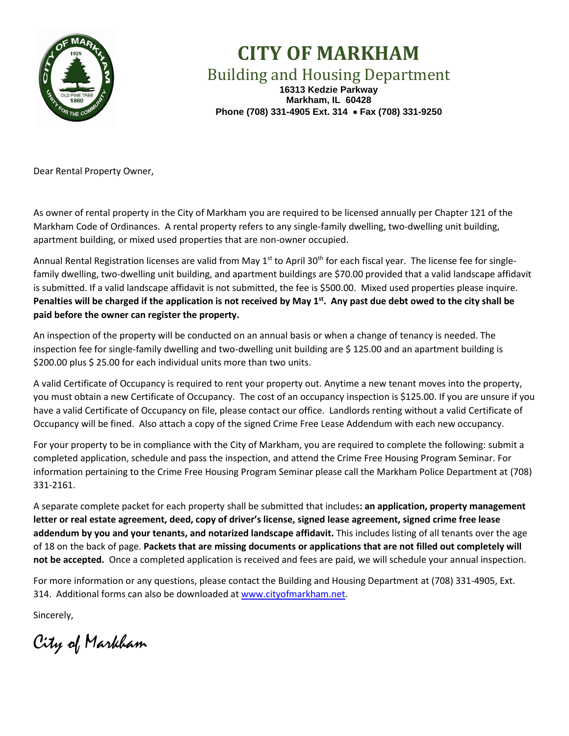

# **CITY OF MARKHAM**

Building and Housing Department

**16313 Kedzie Parkway Markham, IL 60428 Phone (708) 331-4905 Ext. 314** • **Fax (708) 331-9250**

Dear Rental Property Owner,

As owner of rental property in the City of Markham you are required to be licensed annually per Chapter 121 of the Markham Code of Ordinances. A rental property refers to any single-family dwelling, two-dwelling unit building, apartment building, or mixed used properties that are non-owner occupied.

Annual Rental Registration licenses are valid from May 1<sup>st</sup> to April 30<sup>th</sup> for each fiscal year. The license fee for singlefamily dwelling, two-dwelling unit building, and apartment buildings are \$70.00 provided that a valid landscape affidavit is submitted. If a valid landscape affidavit is not submitted, the fee is \$500.00. Mixed used properties please inquire. Penalties will be charged if the application is not received by May 1<sup>st</sup>. Any past due debt owed to the city shall be **paid before the owner can register the property.** 

An inspection of the property will be conducted on an annual basis or when a change of tenancy is needed. The inspection fee for single-family dwelling and two-dwelling unit building are \$ 125.00 and an apartment building is \$200.00 plus \$ 25.00 for each individual units more than two units.

A valid Certificate of Occupancy is required to rent your property out. Anytime a new tenant moves into the property, you must obtain a new Certificate of Occupancy. The cost of an occupancy inspection is \$125.00. If you are unsure if you have a valid Certificate of Occupancy on file, please contact our office. Landlords renting without a valid Certificate of Occupancy will be fined. Also attach a copy of the signed Crime Free Lease Addendum with each new occupancy.

For your property to be in compliance with the City of Markham, you are required to complete the following: submit a completed application, schedule and pass the inspection, and attend the Crime Free Housing Program Seminar. For information pertaining to the Crime Free Housing Program Seminar please call the Markham Police Department at (708) 331-2161.

A separate complete packet for each property shall be submitted that includes**: an application, property management letter or real estate agreement, deed, copy of driver's license, signed lease agreement, signed crime free lease addendum by you and your tenants, and notarized landscape affidavit.** This includes listing of all tenants over the age of 18 on the back of page. **Packets that are missing documents or applications that are not filled out completely will not be accepted.** Once a completed application is received and fees are paid, we will schedule your annual inspection.

For more information or any questions, please contact the Building and Housing Department at (708) 331-4905, Ext. 314. Additional forms can also be downloaded at [www.cityofmarkham.net.](http://www.cityofmarkham.net/)

Sincerely,

City of Markham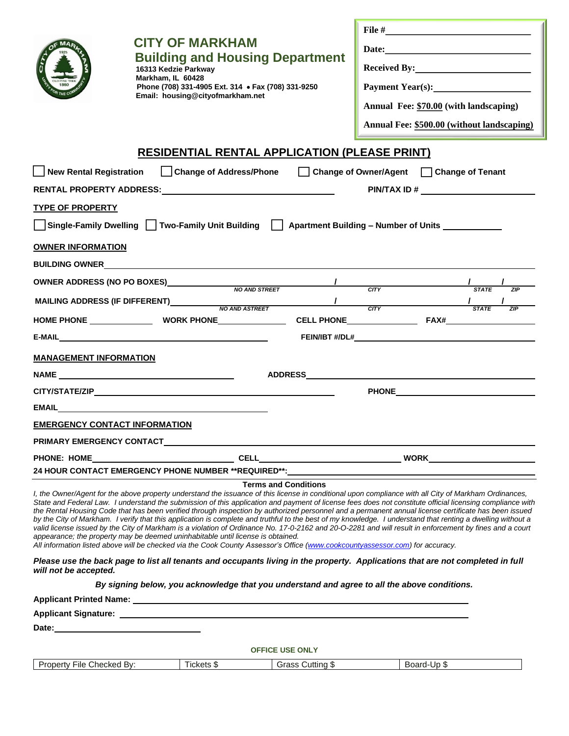|                                      | <b>CITY OF MARKHAM</b><br><b>Building and Housing Department</b><br>16313 Kedzie Parkway<br>Markham, IL 60428<br>Phone (708) 331-4905 Ext. 314 • Fax (708) 331-9250<br>Email: housing@cityofmarkham.net          |                             | Payment Year(s):<br>Annual Fee: \$70.00 (with landscaping)<br>Annual Fee: \$500.00 (without landscaping)                                                                                                                                                                                                                                                                                                                                                                                                                                                                                                                                                                                                                                                                                             |
|--------------------------------------|------------------------------------------------------------------------------------------------------------------------------------------------------------------------------------------------------------------|-----------------------------|------------------------------------------------------------------------------------------------------------------------------------------------------------------------------------------------------------------------------------------------------------------------------------------------------------------------------------------------------------------------------------------------------------------------------------------------------------------------------------------------------------------------------------------------------------------------------------------------------------------------------------------------------------------------------------------------------------------------------------------------------------------------------------------------------|
|                                      | <b>RESIDENTIAL RENTAL APPLICATION (PLEASE PRINT)</b>                                                                                                                                                             |                             |                                                                                                                                                                                                                                                                                                                                                                                                                                                                                                                                                                                                                                                                                                                                                                                                      |
|                                      |                                                                                                                                                                                                                  |                             | New Rental Registration Change of Address/Phone Change of Owner/Agent Change of Tenant                                                                                                                                                                                                                                                                                                                                                                                                                                                                                                                                                                                                                                                                                                               |
|                                      |                                                                                                                                                                                                                  |                             |                                                                                                                                                                                                                                                                                                                                                                                                                                                                                                                                                                                                                                                                                                                                                                                                      |
| <b>TYPE OF PROPERTY</b>              |                                                                                                                                                                                                                  |                             |                                                                                                                                                                                                                                                                                                                                                                                                                                                                                                                                                                                                                                                                                                                                                                                                      |
|                                      |                                                                                                                                                                                                                  |                             | Single-Family Dwelling   Two-Family Unit Building   Apartment Building - Number of Units _ ________                                                                                                                                                                                                                                                                                                                                                                                                                                                                                                                                                                                                                                                                                                  |
| <b>OWNER INFORMATION</b>             |                                                                                                                                                                                                                  |                             |                                                                                                                                                                                                                                                                                                                                                                                                                                                                                                                                                                                                                                                                                                                                                                                                      |
|                                      | <b>BUILDING OWNER CONSUMING A SET ON A SET ON A SET ON A SET ON A SET ON A SET ON A SET ON A SET ON A SET ON A S</b>                                                                                             |                             |                                                                                                                                                                                                                                                                                                                                                                                                                                                                                                                                                                                                                                                                                                                                                                                                      |
|                                      |                                                                                                                                                                                                                  |                             | OWNER ADDRESS (NO PO BOXES) NO AND STREET A THE CITY STATE THE STATE THE CITY STATE THE CHEMICLE ASSAULT AND AND STREET ASSAULT AS A STATE THE CITY STATE OF THE CHEMICLE ASSAULT AS A STATE OF THE CHEMICLE ASSAULT ASSAULT A                                                                                                                                                                                                                                                                                                                                                                                                                                                                                                                                                                       |
|                                      |                                                                                                                                                                                                                  |                             |                                                                                                                                                                                                                                                                                                                                                                                                                                                                                                                                                                                                                                                                                                                                                                                                      |
|                                      |                                                                                                                                                                                                                  |                             |                                                                                                                                                                                                                                                                                                                                                                                                                                                                                                                                                                                                                                                                                                                                                                                                      |
|                                      |                                                                                                                                                                                                                  |                             |                                                                                                                                                                                                                                                                                                                                                                                                                                                                                                                                                                                                                                                                                                                                                                                                      |
| <b>MANAGEMENT INFORMATION</b>        |                                                                                                                                                                                                                  |                             |                                                                                                                                                                                                                                                                                                                                                                                                                                                                                                                                                                                                                                                                                                                                                                                                      |
|                                      |                                                                                                                                                                                                                  |                             | ADDRESS ADDRESS                                                                                                                                                                                                                                                                                                                                                                                                                                                                                                                                                                                                                                                                                                                                                                                      |
|                                      |                                                                                                                                                                                                                  |                             |                                                                                                                                                                                                                                                                                                                                                                                                                                                                                                                                                                                                                                                                                                                                                                                                      |
|                                      | <b>EMAIL EMAIL</b>                                                                                                                                                                                               |                             |                                                                                                                                                                                                                                                                                                                                                                                                                                                                                                                                                                                                                                                                                                                                                                                                      |
| <b>EMERGENCY CONTACT INFORMATION</b> |                                                                                                                                                                                                                  |                             |                                                                                                                                                                                                                                                                                                                                                                                                                                                                                                                                                                                                                                                                                                                                                                                                      |
|                                      |                                                                                                                                                                                                                  |                             |                                                                                                                                                                                                                                                                                                                                                                                                                                                                                                                                                                                                                                                                                                                                                                                                      |
|                                      |                                                                                                                                                                                                                  |                             |                                                                                                                                                                                                                                                                                                                                                                                                                                                                                                                                                                                                                                                                                                                                                                                                      |
|                                      | 24 HOUR CONTACT EMERGENCY PHONE NUMBER **REQUIRED**: CONTENTLY CONTROLLERGY                                                                                                                                      |                             |                                                                                                                                                                                                                                                                                                                                                                                                                                                                                                                                                                                                                                                                                                                                                                                                      |
|                                      | appearance; the property may be deemed uninhabitable until license is obtained.<br>All information listed above will be checked via the Cook County Assessor's Office (www.cookcountyassessor.com) for accuracy. | <b>Terms and Conditions</b> | I, the Owner/Agent for the above property understand the issuance of this license in conditional upon compliance with all City of Markham Ordinances,<br>State and Federal Law. I understand the submission of this application and payment of license fees does not constitute official licensing compliance with<br>the Rental Housing Code that has been verified through inspection by authorized personnel and a permanent annual license certificate has been issued<br>by the City of Markham. I verify that this application is complete and truthful to the best of my knowledge. I understand that renting a dwelling without a<br>valid license issued by the City of Markham is a violation of Ordinance No. 17-0-2162 and 20-0-2281 and will result in enforcement by fines and a court |
| will not be accepted.                |                                                                                                                                                                                                                  |                             | Please use the back page to list all tenants and occupants living in the property. Applications that are not completed in full                                                                                                                                                                                                                                                                                                                                                                                                                                                                                                                                                                                                                                                                       |
|                                      | By signing below, you acknowledge that you understand and agree to all the above conditions.                                                                                                                     |                             |                                                                                                                                                                                                                                                                                                                                                                                                                                                                                                                                                                                                                                                                                                                                                                                                      |
|                                      |                                                                                                                                                                                                                  |                             |                                                                                                                                                                                                                                                                                                                                                                                                                                                                                                                                                                                                                                                                                                                                                                                                      |
|                                      |                                                                                                                                                                                                                  |                             |                                                                                                                                                                                                                                                                                                                                                                                                                                                                                                                                                                                                                                                                                                                                                                                                      |
|                                      |                                                                                                                                                                                                                  |                             |                                                                                                                                                                                                                                                                                                                                                                                                                                                                                                                                                                                                                                                                                                                                                                                                      |
|                                      |                                                                                                                                                                                                                  | <b>OFFICE USE ONLY</b>      |                                                                                                                                                                                                                                                                                                                                                                                                                                                                                                                                                                                                                                                                                                                                                                                                      |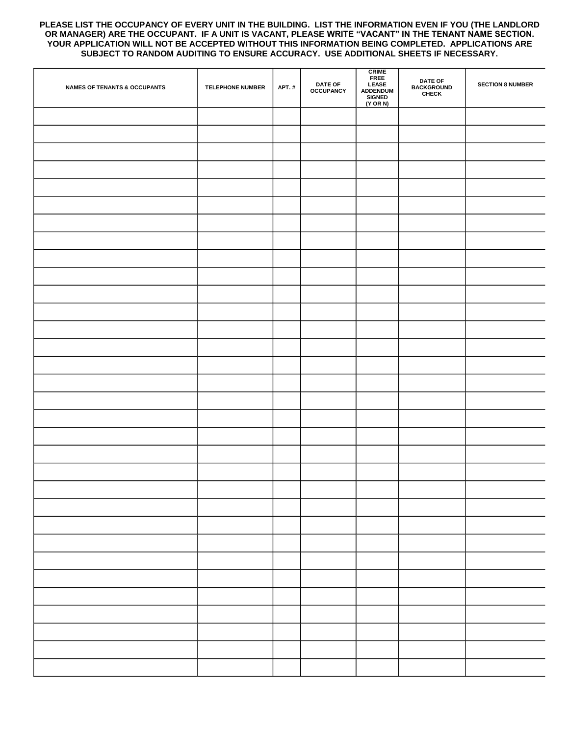#### **PLEASE LIST THE OCCUPANCY OF EVERY UNIT IN THE BUILDING. LIST THE INFORMATION EVEN IF YOU (THE LANDLORD OR MANAGER) ARE THE OCCUPANT. IF A UNIT IS VACANT, PLEASE WRITE "VACANT" IN THE TENANT NAME SECTION. YOUR APPLICATION WILL NOT BE ACCEPTED WITHOUT THIS INFORMATION BEING COMPLETED. APPLICATIONS ARE SUBJECT TO RANDOM AUDITING TO ENSURE ACCURACY. USE ADDITIONAL SHEETS IF NECESSARY.**

| <b>OCCUPANCY</b><br>ADDENDUM<br><b>CHECK</b><br><b>SIGNED</b><br>$(Y \t{OR} N)$ | <b>SECTION 8 NUMBER</b> |
|---------------------------------------------------------------------------------|-------------------------|
|                                                                                 |                         |
|                                                                                 |                         |
|                                                                                 |                         |
|                                                                                 |                         |
|                                                                                 |                         |
|                                                                                 |                         |
|                                                                                 |                         |
|                                                                                 |                         |
|                                                                                 |                         |
|                                                                                 |                         |
|                                                                                 |                         |
|                                                                                 |                         |
|                                                                                 |                         |
|                                                                                 |                         |
|                                                                                 |                         |
|                                                                                 |                         |
|                                                                                 |                         |
|                                                                                 |                         |
|                                                                                 |                         |
|                                                                                 |                         |
|                                                                                 |                         |
|                                                                                 |                         |
|                                                                                 |                         |
|                                                                                 |                         |
|                                                                                 |                         |
|                                                                                 |                         |
|                                                                                 |                         |
|                                                                                 |                         |
|                                                                                 |                         |
|                                                                                 |                         |
|                                                                                 |                         |
|                                                                                 |                         |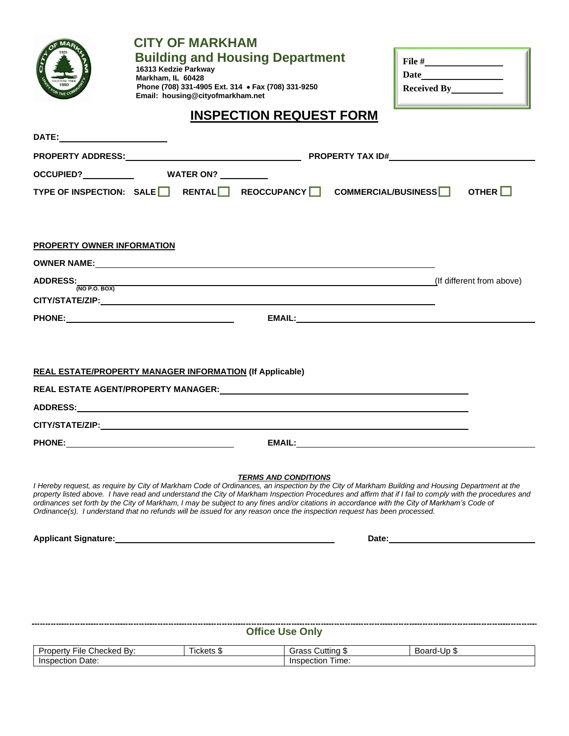|                                                                | <b>CITY OF MARKHAM</b><br><b>Building and Housing Department</b><br>16313 Kedzie Parkway<br>Markham, IL 60428<br>Phone (708) 331-4905 Ext. 314 • Fax (708) 331-9250<br>Email: housing@cityofmarkham.net                                                                                                                                                                                                                                                                                                                                                                                |                                | ${\bf Date \underline{\hspace{1cm}} \hspace{1cm} \hspace{1cm} \hspace{1cm} \hspace{1cm} }$ |  |
|----------------------------------------------------------------|----------------------------------------------------------------------------------------------------------------------------------------------------------------------------------------------------------------------------------------------------------------------------------------------------------------------------------------------------------------------------------------------------------------------------------------------------------------------------------------------------------------------------------------------------------------------------------------|--------------------------------|--------------------------------------------------------------------------------------------|--|
|                                                                |                                                                                                                                                                                                                                                                                                                                                                                                                                                                                                                                                                                        | <b>INSPECTION REQUEST FORM</b> |                                                                                            |  |
|                                                                |                                                                                                                                                                                                                                                                                                                                                                                                                                                                                                                                                                                        |                                |                                                                                            |  |
|                                                                |                                                                                                                                                                                                                                                                                                                                                                                                                                                                                                                                                                                        |                                |                                                                                            |  |
|                                                                | OCCUPIED? WATER ON?                                                                                                                                                                                                                                                                                                                                                                                                                                                                                                                                                                    |                                |                                                                                            |  |
|                                                                | TYPE OF INSPECTION: SALE□ RENTAL□ REOCCUPANCY□ COMMERCIAL/BUSINESS□ OTHER□                                                                                                                                                                                                                                                                                                                                                                                                                                                                                                             |                                |                                                                                            |  |
| PROPERTY OWNER INFORMATION<br><b>ADDRESS:</b><br>(NO P.O. BOX) | (If different from above) and the contract of the contract of the contract of the contract of the contract of the contract of the contract of the contract of the contract of the contract of the contract of the contract of                                                                                                                                                                                                                                                                                                                                                          |                                |                                                                                            |  |
|                                                                | <b>REAL ESTATE/PROPERTY MANAGER INFORMATION (If Applicable)</b>                                                                                                                                                                                                                                                                                                                                                                                                                                                                                                                        |                                |                                                                                            |  |
|                                                                |                                                                                                                                                                                                                                                                                                                                                                                                                                                                                                                                                                                        |                                |                                                                                            |  |
|                                                                |                                                                                                                                                                                                                                                                                                                                                                                                                                                                                                                                                                                        |                                |                                                                                            |  |
|                                                                |                                                                                                                                                                                                                                                                                                                                                                                                                                                                                                                                                                                        |                                |                                                                                            |  |
| <b>PHONE:</b>                                                  |                                                                                                                                                                                                                                                                                                                                                                                                                                                                                                                                                                                        | <b>EMAIL:</b>                  |                                                                                            |  |
|                                                                | I Hereby request, as require by City of Markham Code of Ordinances, an inspection by the City of Markham Building and Housing Department at the<br>property listed above. I have read and understand the City of Markham Inspection Procedures and affirm that if I fail to comply with the procedures and<br>ordinances set forth by the City of Markham, I may be subject to any fines and/or citations in accordance with the City of Markham's Code of<br>Ordinance(s). I understand that no refunds will be issued for any reason once the inspection request has been processed. | <b>TERMS AND CONDITIONS</b>    |                                                                                            |  |

**Applicant Signature:** <u>**Date: Date: Date: Date: Date: Date: Date: Date: Date: Date: Date: Date: Date: Date: Date: Date: Date: Date: Date: Date: Date: Date: Date: Date: Date:</u>** 

|                           |            | <b>Office Use Only</b> |             |
|---------------------------|------------|------------------------|-------------|
| Property File Checked By: | Tickets \$ | Grass Cutting \$       | Board-Up \$ |
| Inspection Date:          |            | Inspection Time:       |             |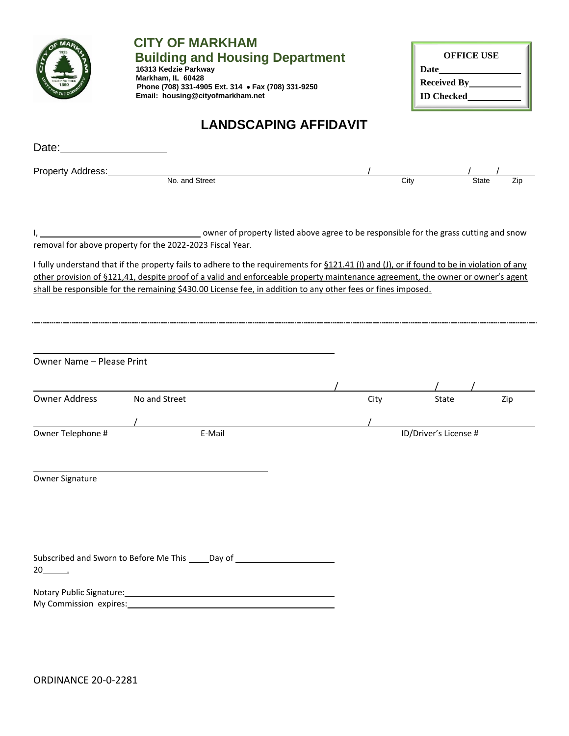

# **CITY OF MARKHAM Ruilding and Housing Department**

**16313 Kedzie Parkway Markham, IL 60428 Phone (708) 331-4905 Ext. 314 • Fax (708) 331-9250 Email: housing@cityofmarkham.net**

| <b>OFFICE USE</b>   |
|---------------------|
| Date                |
| <b>Received By_</b> |
| <b>ID</b> Checked   |

# **LANDSCAPING AFFIDAVIT**

| Property Address:<br>No. and Street<br>owner of property listed above agree to be responsible for the grass cutting and snow<br>removal for above property for the 2022-2023 Fiscal Year.<br>I fully understand that if the property fails to adhere to the requirements for \$121.41 (I) and (J), or if found to be in violation of any<br>other provision of §121,41, despite proof of a valid and enforceable property maintenance agreement, the owner or owner's agent<br>shall be responsible for the remaining \$430.00 License fee, in addition to any other fees or fines imposed. | City |                       | State<br>Zip |
|---------------------------------------------------------------------------------------------------------------------------------------------------------------------------------------------------------------------------------------------------------------------------------------------------------------------------------------------------------------------------------------------------------------------------------------------------------------------------------------------------------------------------------------------------------------------------------------------|------|-----------------------|--------------|
|                                                                                                                                                                                                                                                                                                                                                                                                                                                                                                                                                                                             |      |                       |              |
|                                                                                                                                                                                                                                                                                                                                                                                                                                                                                                                                                                                             |      |                       |              |
|                                                                                                                                                                                                                                                                                                                                                                                                                                                                                                                                                                                             |      |                       |              |
|                                                                                                                                                                                                                                                                                                                                                                                                                                                                                                                                                                                             |      |                       |              |
|                                                                                                                                                                                                                                                                                                                                                                                                                                                                                                                                                                                             |      |                       |              |
|                                                                                                                                                                                                                                                                                                                                                                                                                                                                                                                                                                                             |      |                       |              |
|                                                                                                                                                                                                                                                                                                                                                                                                                                                                                                                                                                                             |      |                       |              |
|                                                                                                                                                                                                                                                                                                                                                                                                                                                                                                                                                                                             |      |                       |              |
|                                                                                                                                                                                                                                                                                                                                                                                                                                                                                                                                                                                             |      |                       |              |
|                                                                                                                                                                                                                                                                                                                                                                                                                                                                                                                                                                                             |      |                       |              |
|                                                                                                                                                                                                                                                                                                                                                                                                                                                                                                                                                                                             |      |                       |              |
| Owner Name - Please Print                                                                                                                                                                                                                                                                                                                                                                                                                                                                                                                                                                   |      |                       |              |
|                                                                                                                                                                                                                                                                                                                                                                                                                                                                                                                                                                                             |      |                       |              |
|                                                                                                                                                                                                                                                                                                                                                                                                                                                                                                                                                                                             |      |                       |              |
| <b>Owner Address</b><br>No and Street                                                                                                                                                                                                                                                                                                                                                                                                                                                                                                                                                       | City | State                 | Zip          |
|                                                                                                                                                                                                                                                                                                                                                                                                                                                                                                                                                                                             |      |                       |              |
|                                                                                                                                                                                                                                                                                                                                                                                                                                                                                                                                                                                             |      |                       |              |
| Owner Telephone #<br>E-Mail                                                                                                                                                                                                                                                                                                                                                                                                                                                                                                                                                                 |      | ID/Driver's License # |              |
|                                                                                                                                                                                                                                                                                                                                                                                                                                                                                                                                                                                             |      |                       |              |
|                                                                                                                                                                                                                                                                                                                                                                                                                                                                                                                                                                                             |      |                       |              |
| Owner Signature                                                                                                                                                                                                                                                                                                                                                                                                                                                                                                                                                                             |      |                       |              |
|                                                                                                                                                                                                                                                                                                                                                                                                                                                                                                                                                                                             |      |                       |              |
|                                                                                                                                                                                                                                                                                                                                                                                                                                                                                                                                                                                             |      |                       |              |
|                                                                                                                                                                                                                                                                                                                                                                                                                                                                                                                                                                                             |      |                       |              |
|                                                                                                                                                                                                                                                                                                                                                                                                                                                                                                                                                                                             |      |                       |              |
|                                                                                                                                                                                                                                                                                                                                                                                                                                                                                                                                                                                             |      |                       |              |
|                                                                                                                                                                                                                                                                                                                                                                                                                                                                                                                                                                                             |      |                       |              |
| Subscribed and Sworn to Before Me This _____ Day of _                                                                                                                                                                                                                                                                                                                                                                                                                                                                                                                                       |      |                       |              |
| $20$ .                                                                                                                                                                                                                                                                                                                                                                                                                                                                                                                                                                                      |      |                       |              |
| Notary Public Signature:                                                                                                                                                                                                                                                                                                                                                                                                                                                                                                                                                                    |      |                       |              |

My Commission expires: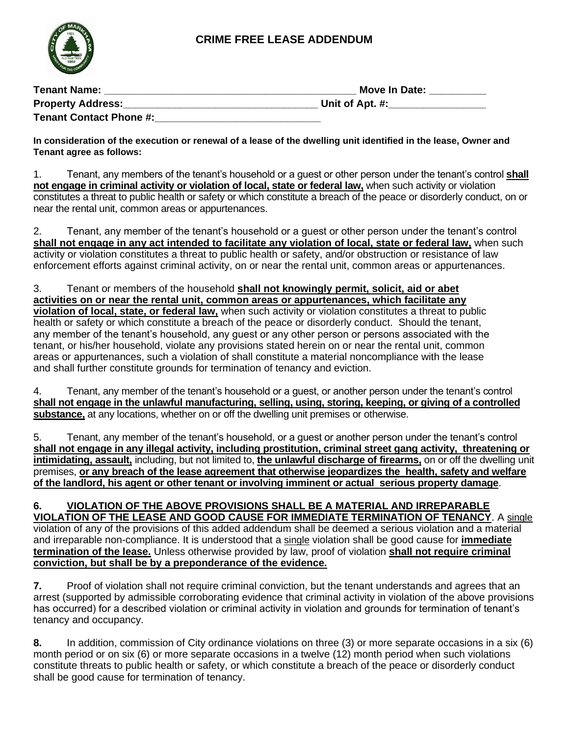### **CRIME FREE LEASE ADDENDUM**



| <b>Tenant Name:</b>            | Move In Date:   |  |  |
|--------------------------------|-----------------|--|--|
| <b>Property Address:</b>       | Unit of Apt. #: |  |  |
| <b>Tenant Contact Phone #:</b> |                 |  |  |

**In consideration of the execution or renewal of a lease of the dwelling unit identified in the lease, Owner and Tenant agree as follows:**

1. Tenant, any members of the tenant's household or a guest or other person under the tenant's control **shall not engage in criminal activity or violation of local, state or federal law,** when such activity or violation constitutes a threat to public health or safety or which constitute a breach of the peace or disorderly conduct, on or near the rental unit, common areas or appurtenances.

2. Tenant, any member of the tenant's household or a guest or other person under the tenant's control **shall not engage in any act intended to facilitate any violation of local, state or federal law,** when such activity or violation constitutes a threat to public health or safety, and/or obstruction or resistance of law enforcement efforts against criminal activity, on or near the rental unit, common areas or appurtenances.

3. Tenant or members of the household **shall not knowingly permit, solicit, aid or abet activities on or near the rental unit, common areas or appurtenances, which facilitate any violation of local, state, or federal law,** when such activity or violation constitutes a threat to public health or safety or which constitute a breach of the peace or disorderly conduct. Should the tenant, any member of the tenant's household, any guest or any other person or persons associated with the tenant, or his/her household, violate any provisions stated herein on or near the rental unit, common areas or appurtenances, such a violation of shall constitute a material noncompliance with the lease and shall further constitute grounds for termination of tenancy and eviction.

4. Tenant, any member of the tenant's household or a guest, or another person under the tenant's control **shall not engage in the unlawful manufacturing, selling, using, storing, keeping, or giving of a controlled substance,** at any locations, whether on or off the dwelling unit premises or otherwise.

5. Tenant, any member of the tenant's household, or a guest or another person under the tenant's control **shall not engage in any illegal activity, including prostitution, criminal street gang activity, threatening or intimidating, assault,** including, but not limited to, **the unlawful discharge of firearms,** on or off the dwelling unit premises, **or any breach of the lease agreement that otherwise jeopardizes the health, safety and welfare of the landlord, his agent or other tenant or involving imminent or actual serious property damage**.

#### **6. VIOLATION OF THE ABOVE PROVISIONS SHALL BE A MATERIAL AND IRREPARABLE VIOLATION OF THE LEASE AND GOOD CAUSE FOR IMMEDIATE TERMINATION OF TENANCY**. A single violation of any of the provisions of this added addendum shall be deemed a serious violation and a material and irreparable non-compliance. It is understood that a single violation shall be good cause for **immediate termination of the lease.** Unless otherwise provided by law, proof of violation **shall not require criminal conviction, but shall be by a preponderance of the evidence.**

**7.** Proof of violation shall not require criminal conviction, but the tenant understands and agrees that an arrest (supported by admissible corroborating evidence that criminal activity in violation of the above provisions has occurred) for a described violation or criminal activity in violation and grounds for termination of tenant's tenancy and occupancy.

**8.** In addition, commission of City ordinance violations on three (3) or more separate occasions in a six (6) month period or on six (6) or more separate occasions in a twelve (12) month period when such violations constitute threats to public health or safety, or which constitute a breach of the peace or disorderly conduct shall be good cause for termination of tenancy.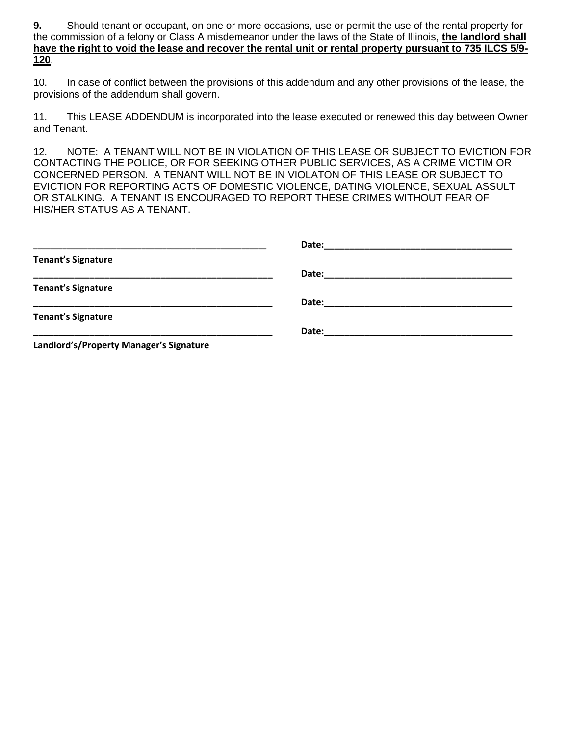**9.** Should tenant or occupant, on one or more occasions, use or permit the use of the rental property for the commission of a felony or Class A misdemeanor under the laws of the State of Illinois, **the landlord shall have the right to void the lease and recover the rental unit or rental property pursuant to 735 ILCS 5/9- 120**.

10. In case of conflict between the provisions of this addendum and any other provisions of the lease, the provisions of the addendum shall govern.

11. This LEASE ADDENDUM is incorporated into the lease executed or renewed this day between Owner and Tenant.

12. NOTE: A TENANT WILL NOT BE IN VIOLATION OF THIS LEASE OR SUBJECT TO EVICTION FOR CONTACTING THE POLICE, OR FOR SEEKING OTHER PUBLIC SERVICES, AS A CRIME VICTIM OR CONCERNED PERSON. A TENANT WILL NOT BE IN VIOLATON OF THIS LEASE OR SUBJECT TO EVICTION FOR REPORTING ACTS OF DOMESTIC VIOLENCE, DATING VIOLENCE, SEXUAL ASSULT OR STALKING. A TENANT IS ENCOURAGED TO REPORT THESE CRIMES WITHOUT FEAR OF HIS/HER STATUS AS A TENANT.

| <b>Tenant's Signature</b>               |  |
|-----------------------------------------|--|
|                                         |  |
| <b>Tenant's Signature</b>               |  |
|                                         |  |
| <b>Tenant's Signature</b>               |  |
|                                         |  |
| Landlord's/Property Manager's Signature |  |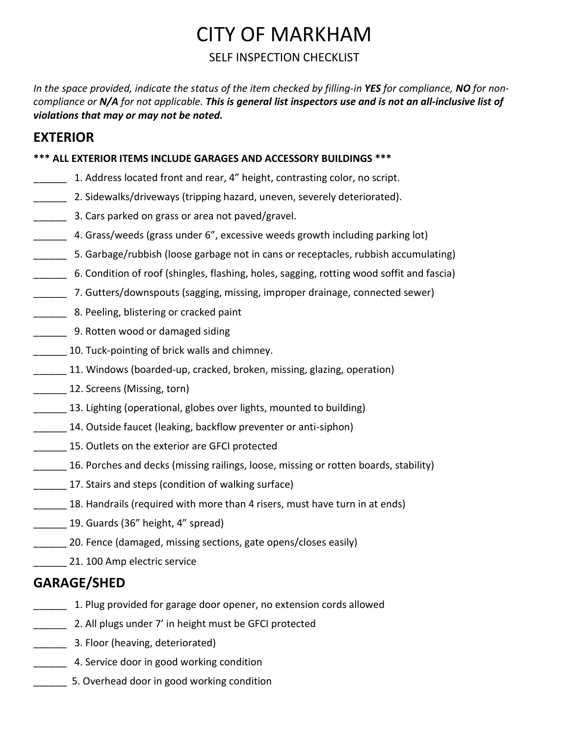# CITY OF MARKHAM

### SELF INSPECTION CHECKLIST

*In the space provided, indicate the status of the item checked by filling-in YES for compliance, NO for noncompliance or N/A for not applicable. This is general list inspectors use and is not an all-inclusive list of violations that may or may not be noted.* 

# **EXTERIOR**

### **\*\*\* ALL EXTERIOR ITEMS INCLUDE GARAGES AND ACCESSORY BUILDINGS \*\*\***

- \_\_\_\_\_\_ 1. Address located front and rear, 4" height, contrasting color, no script.
- **2. Sidewalks/driveways (tripping hazard, uneven, severely deteriorated).**
- **\_\_\_\_\_** 3. Cars parked on grass or area not paved/gravel.
- \_\_\_\_\_\_ 4. Grass/weeds (grass under 6", excessive weeds growth including parking lot)
- \_\_\_\_\_\_ 5. Garbage/rubbish (loose garbage not in cans or receptacles, rubbish accumulating)
- \_\_\_\_\_\_ 6. Condition of roof (shingles, flashing, holes, sagging, rotting wood soffit and fascia)
- \_\_\_\_\_\_ 7. Gutters/downspouts (sagging, missing, improper drainage, connected sewer)
- \_\_\_\_\_\_ 8. Peeling, blistering or cracked paint
- **\_\_\_\_\_** 9. Rotten wood or damaged siding
- 10. Tuck-pointing of brick walls and chimney.
- \_\_\_\_\_\_ 11. Windows (boarded-up, cracked, broken, missing, glazing, operation)
- \_\_\_\_\_\_ 12. Screens (Missing, torn)
- 13. Lighting (operational, globes over lights, mounted to building)
- 14. Outside faucet (leaking, backflow preventer or anti-siphon)
- \_\_\_\_\_\_ 15. Outlets on the exterior are GFCI protected
- \_\_\_\_\_\_ 16. Porches and decks (missing railings, loose, missing or rotten boards, stability)
- 17. Stairs and steps (condition of walking surface)
- 18. Handrails (required with more than 4 risers, must have turn in at ends)
- 19. Guards (36" height, 4" spread)
- \_\_\_\_\_\_ 20. Fence (damaged, missing sections, gate opens/closes easily)
- 100 Amp electric service

## **GARAGE/SHED**

- \_\_\_\_\_\_ 1. Plug provided for garage door opener, no extension cords allowed
- 2. All plugs under 7' in height must be GFCI protected
- **Example 2.5 Floor (heaving, deteriorated)**
- **\_\_\_\_\_\_** 4. Service door in good working condition
- \_\_\_\_\_\_ 5. Overhead door in good working condition